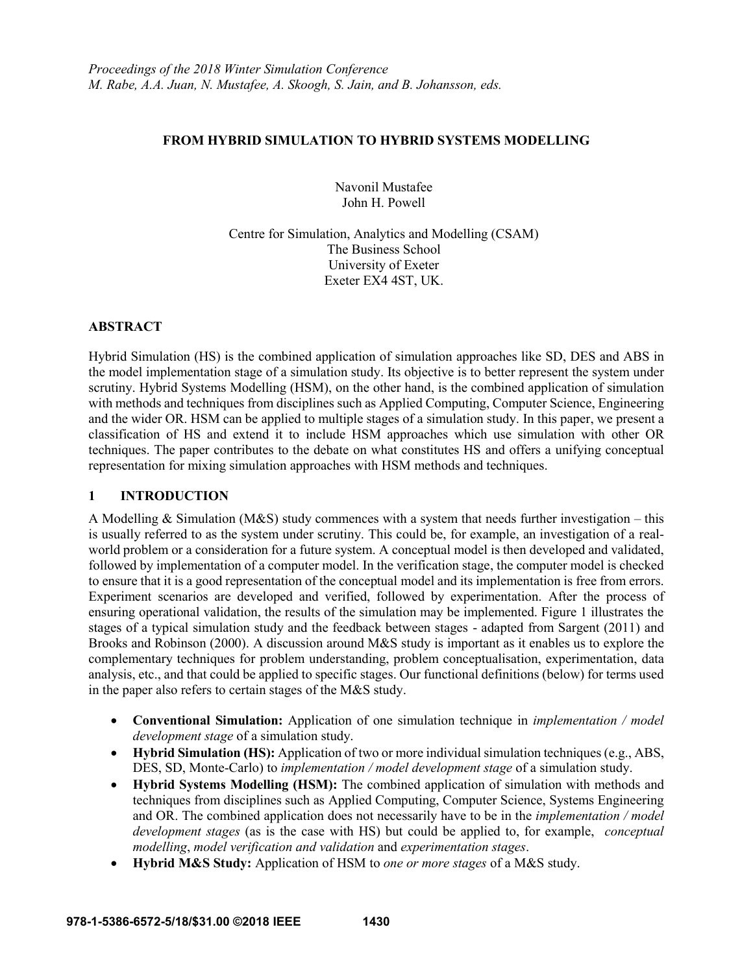## **FROM HYBRID SIMULATION TO HYBRID SYSTEMS MODELLING**

Navonil Mustafee John H. Powell

Centre for Simulation, Analytics and Modelling (CSAM) The Business School University of Exeter Exeter EX4 4ST, UK.

### **ABSTRACT**

Hybrid Simulation (HS) is the combined application of simulation approaches like SD, DES and ABS in the model implementation stage of a simulation study. Its objective is to better represent the system under scrutiny. Hybrid Systems Modelling (HSM), on the other hand, is the combined application of simulation with methods and techniques from disciplines such as Applied Computing, Computer Science, Engineering and the wider OR. HSM can be applied to multiple stages of a simulation study. In this paper, we present a classification of HS and extend it to include HSM approaches which use simulation with other OR techniques. The paper contributes to the debate on what constitutes HS and offers a unifying conceptual representation for mixing simulation approaches with HSM methods and techniques.

### **1 INTRODUCTION**

A Modelling  $&$  Simulation (M&S) study commences with a system that needs further investigation – this is usually referred to as the system under scrutiny. This could be, for example, an investigation of a realworld problem or a consideration for a future system. A conceptual model is then developed and validated, followed by implementation of a computer model. In the verification stage, the computer model is checked to ensure that it is a good representation of the conceptual model and its implementation is free from errors. Experiment scenarios are developed and verified, followed by experimentation. After the process of ensuring operational validation, the results of the simulation may be implemented. Figure 1 illustrates the stages of a typical simulation study and the feedback between stages - adapted from Sargent (2011) and Brooks and Robinson (2000). A discussion around M&S study is important as it enables us to explore the complementary techniques for problem understanding, problem conceptualisation, experimentation, data analysis, etc., and that could be applied to specific stages. Our functional definitions (below) for terms used in the paper also refers to certain stages of the M&S study.

- **Conventional Simulation:** Application of one simulation technique in *implementation / model development stage* of a simulation study.
- **Hybrid Simulation (HS):** Application of two or more individual simulation techniques (e.g., ABS, DES, SD, Monte-Carlo) to *implementation / model development stage* of a simulation study.
- **Hybrid Systems Modelling (HSM):** The combined application of simulation with methods and techniques from disciplines such as Applied Computing, Computer Science, Systems Engineering and OR. The combined application does not necessarily have to be in the *implementation / model development stages* (as is the case with HS) but could be applied to, for example, *conceptual modelling*, *model verification and validation* and *experimentation stages*.
- **Hybrid M&S Study:** Application of HSM to *one or more stages* of a M&S study.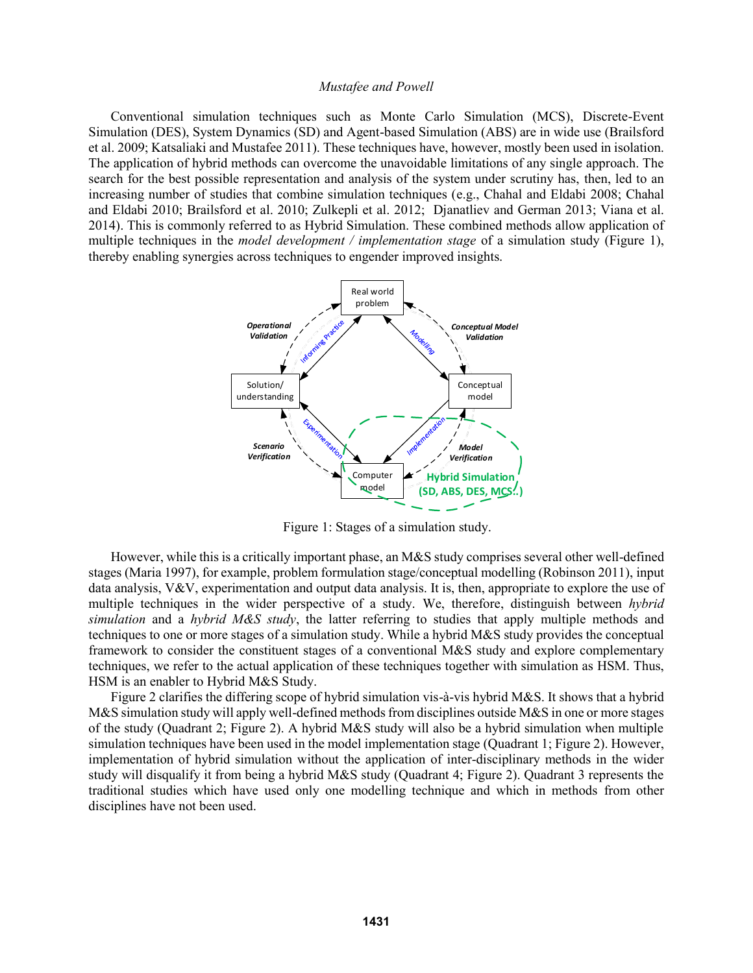Conventional simulation techniques such as Monte Carlo Simulation (MCS), Discrete-Event Simulation (DES), System Dynamics (SD) and Agent-based Simulation (ABS) are in wide use (Brailsford et al. 2009; Katsaliaki and Mustafee 2011). These techniques have, however, mostly been used in isolation. The application of hybrid methods can overcome the unavoidable limitations of any single approach. The search for the best possible representation and analysis of the system under scrutiny has, then, led to an increasing number of studies that combine simulation techniques (e.g., Chahal and Eldabi 2008; Chahal and Eldabi 2010; Brailsford et al. 2010; Zulkepli et al. 2012; Djanatliev and German 2013; Viana et al. 2014). This is commonly referred to as Hybrid Simulation. These combined methods allow application of multiple techniques in the *model development / implementation stage* of a simulation study (Figure 1), thereby enabling synergies across techniques to engender improved insights.



Figure 1: Stages of a simulation study.

However, while this is a critically important phase, an M&S study comprises several other well-defined stages (Maria 1997), for example, problem formulation stage/conceptual modelling (Robinson 2011), input data analysis, V&V, experimentation and output data analysis. It is, then, appropriate to explore the use of multiple techniques in the wider perspective of a study. We, therefore, distinguish between *hybrid simulation* and a *hybrid M&S study*, the latter referring to studies that apply multiple methods and techniques to one or more stages of a simulation study. While a hybrid M&S study provides the conceptual framework to consider the constituent stages of a conventional M&S study and explore complementary techniques, we refer to the actual application of these techniques together with simulation as HSM. Thus, HSM is an enabler to Hybrid M&S Study.

Figure 2 clarifies the differing scope of hybrid simulation vis-à-vis hybrid M&S. It shows that a hybrid M&S simulation study will apply well-defined methods from disciplines outside M&S in one or more stages of the study (Quadrant 2; Figure 2). A hybrid M&S study will also be a hybrid simulation when multiple simulation techniques have been used in the model implementation stage (Quadrant 1; Figure 2). However, implementation of hybrid simulation without the application of inter-disciplinary methods in the wider study will disqualify it from being a hybrid M&S study (Quadrant 4; Figure 2). Quadrant 3 represents the traditional studies which have used only one modelling technique and which in methods from other disciplines have not been used.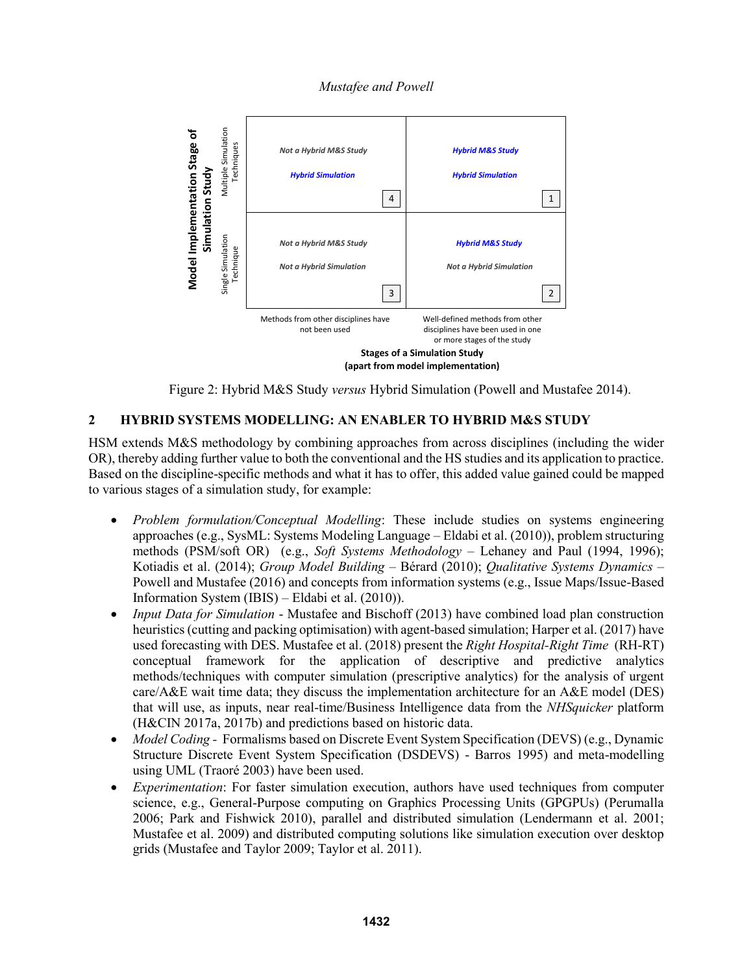*Mustafee and Powell*



Figure 2: Hybrid M&S Study *versus* Hybrid Simulation (Powell and Mustafee 2014).

# **2 HYBRID SYSTEMS MODELLING: AN ENABLER TO HYBRID M&S STUDY**

HSM extends M&S methodology by combining approaches from across disciplines (including the wider OR), thereby adding further value to both the conventional and the HS studies and its application to practice. Based on the discipline-specific methods and what it has to offer, this added value gained could be mapped to various stages of a simulation study, for example:

- *Problem formulation/Conceptual Modelling*: These include studies on systems engineering approaches (e.g., SysML: Systems Modeling Language – Eldabi et al. (2010)), problem structuring methods (PSM/soft OR) (e.g., *Soft Systems Methodology* – Lehaney and Paul (1994, 1996); Kotiadis et al. (2014); *Group Model Building* – Bérard (2010); *Qualitative Systems Dynamics* – Powell and Mustafee (2016) and concepts from information systems (e.g., Issue Maps/Issue-Based Information System (IBIS) – Eldabi et al. (2010)).
- *Input Data for Simulation* Mustafee and Bischoff (2013) have combined load plan construction heuristics (cutting and packing optimisation) with agent-based simulation; Harper et al. (2017) have used forecasting with DES. Mustafee et al. (2018) present the *Right Hospital-Right Time* (RH-RT) conceptual framework for the application of descriptive and predictive analytics methods/techniques with computer simulation (prescriptive analytics) for the analysis of urgent care/A&E wait time data; they discuss the implementation architecture for an A&E model (DES) that will use, as inputs, near real-time/Business Intelligence data from the *NHSquicker* platform (H&CIN 2017a, 2017b) and predictions based on historic data.
- *Model Coding -* Formalisms based on Discrete Event System Specification (DEVS) (e.g., Dynamic Structure Discrete Event System Specification (DSDEVS) - Barros 1995) and meta-modelling using UML (Traoré 2003) have been used.
- *Experimentation*: For faster simulation execution, authors have used techniques from computer science, e.g., General-Purpose computing on Graphics Processing Units (GPGPUs) (Perumalla 2006; Park and Fishwick 2010), parallel and distributed simulation (Lendermann et al. 2001; Mustafee et al. 2009) and distributed computing solutions like simulation execution over desktop grids (Mustafee and Taylor 2009; Taylor et al. 2011).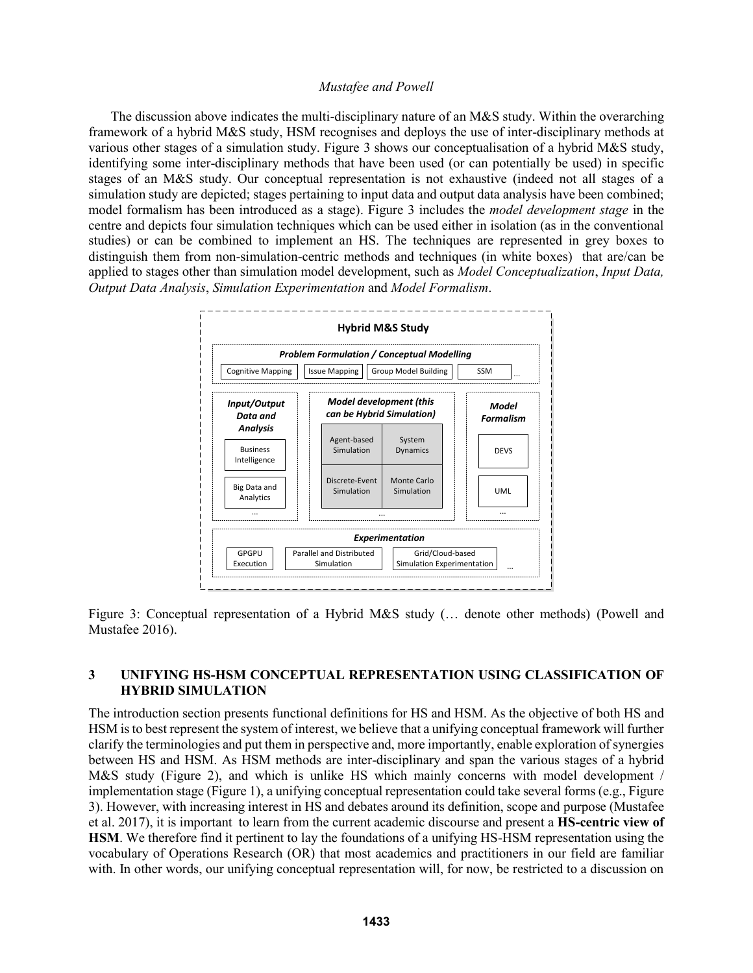The discussion above indicates the multi-disciplinary nature of an M&S study. Within the overarching framework of a hybrid M&S study, HSM recognises and deploys the use of inter-disciplinary methods at various other stages of a simulation study. Figure 3 shows our conceptualisation of a hybrid M&S study, identifying some inter-disciplinary methods that have been used (or can potentially be used) in specific stages of an M&S study. Our conceptual representation is not exhaustive (indeed not all stages of a simulation study are depicted; stages pertaining to input data and output data analysis have been combined; model formalism has been introduced as a stage). Figure 3 includes the *model development stage* in the centre and depicts four simulation techniques which can be used either in isolation (as in the conventional studies) or can be combined to implement an HS. The techniques are represented in grey boxes to distinguish them from non-simulation-centric methods and techniques (in white boxes) that are/can be applied to stages other than simulation model development, such as *Model Conceptualization*, *Input Data, Output Data Analysis*, *Simulation Experimentation* and *Model Formalism*.



Figure 3: Conceptual representation of a Hybrid M&S study (… denote other methods) (Powell and Mustafee 2016).

## **3 UNIFYING HS-HSM CONCEPTUAL REPRESENTATION USING CLASSIFICATION OF HYBRID SIMULATION**

The introduction section presents functional definitions for HS and HSM. As the objective of both HS and HSM is to best represent the system of interest, we believe that a unifying conceptual framework will further clarify the terminologies and put them in perspective and, more importantly, enable exploration of synergies between HS and HSM. As HSM methods are inter-disciplinary and span the various stages of a hybrid M&S study (Figure 2), and which is unlike HS which mainly concerns with model development / implementation stage (Figure 1), a unifying conceptual representation could take several forms (e.g., Figure 3). However, with increasing interest in HS and debates around its definition, scope and purpose (Mustafee et al. 2017), it is important to learn from the current academic discourse and present a **HS-centric view of HSM**. We therefore find it pertinent to lay the foundations of a unifying HS-HSM representation using the vocabulary of Operations Research (OR) that most academics and practitioners in our field are familiar with. In other words, our unifying conceptual representation will, for now, be restricted to a discussion on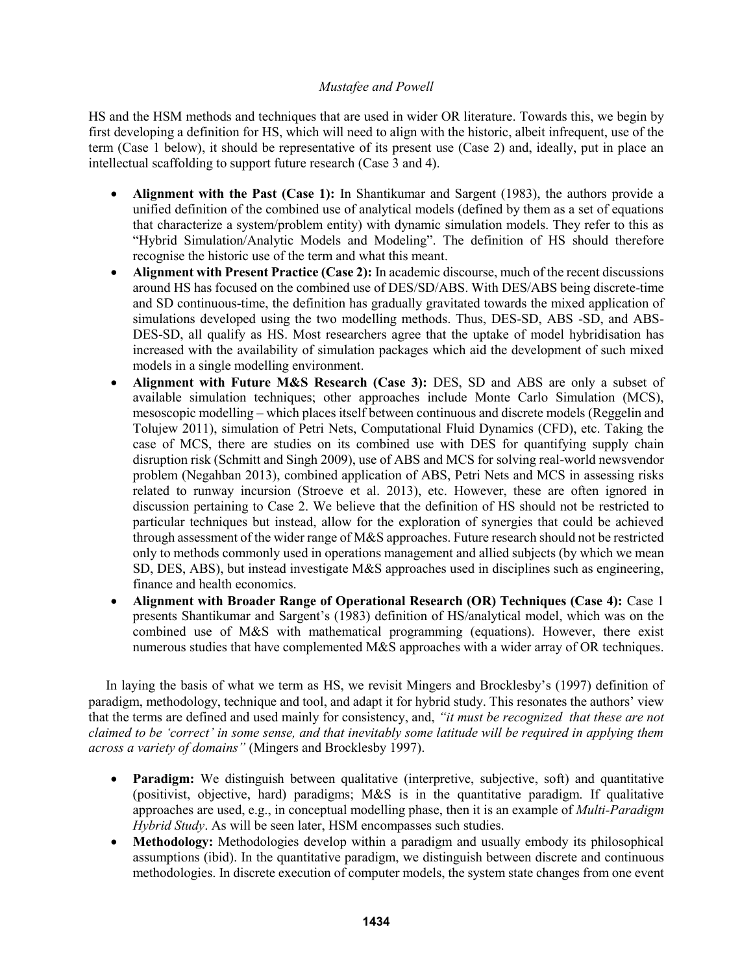HS and the HSM methods and techniques that are used in wider OR literature. Towards this, we begin by first developing a definition for HS, which will need to align with the historic, albeit infrequent, use of the term (Case 1 below), it should be representative of its present use (Case 2) and, ideally, put in place an intellectual scaffolding to support future research (Case 3 and 4).

- **Alignment with the Past (Case 1):** In Shantikumar and Sargent (1983), the authors provide a unified definition of the combined use of analytical models (defined by them as a set of equations that characterize a system/problem entity) with dynamic simulation models. They refer to this as "Hybrid Simulation/Analytic Models and Modeling". The definition of HS should therefore recognise the historic use of the term and what this meant.
- **Alignment with Present Practice (Case 2):** In academic discourse, much of the recent discussions around HS has focused on the combined use of DES/SD/ABS. With DES/ABS being discrete-time and SD continuous-time, the definition has gradually gravitated towards the mixed application of simulations developed using the two modelling methods. Thus, DES-SD, ABS -SD, and ABS-DES-SD, all qualify as HS. Most researchers agree that the uptake of model hybridisation has increased with the availability of simulation packages which aid the development of such mixed models in a single modelling environment.
- **Alignment with Future M&S Research (Case 3):** DES, SD and ABS are only a subset of available simulation techniques; other approaches include Monte Carlo Simulation (MCS), mesoscopic modelling – which places itself between continuous and discrete models (Reggelin and Tolujew 2011), simulation of Petri Nets, Computational Fluid Dynamics (CFD), etc. Taking the case of MCS, there are studies on its combined use with DES for quantifying supply chain disruption risk (Schmitt and Singh 2009), use of ABS and MCS for solving real-world newsvendor problem (Negahban 2013), combined application of ABS, Petri Nets and MCS in assessing risks related to runway incursion (Stroeve et al. 2013), etc. However, these are often ignored in discussion pertaining to Case 2. We believe that the definition of HS should not be restricted to particular techniques but instead, allow for the exploration of synergies that could be achieved through assessment of the wider range of  $M\&S$  approaches. Future research should not be restricted only to methods commonly used in operations management and allied subjects (by which we mean SD, DES, ABS), but instead investigate M&S approaches used in disciplines such as engineering, finance and health economics.
- **Alignment with Broader Range of Operational Research (OR) Techniques (Case 4):** Case 1 presents Shantikumar and Sargent's (1983) definition of HS/analytical model, which was on the combined use of M&S with mathematical programming (equations). However, there exist numerous studies that have complemented M&S approaches with a wider array of OR techniques.

In laying the basis of what we term as HS, we revisit Mingers and Brocklesby's (1997) definition of paradigm, methodology, technique and tool, and adapt it for hybrid study. This resonates the authors' view that the terms are defined and used mainly for consistency, and, *"it must be recognized that these are not claimed to be 'correct' in some sense, and that inevitably some latitude will be required in applying them across a variety of domains"* (Mingers and Brocklesby 1997).

- **Paradigm:** We distinguish between qualitative (interpretive, subjective, soft) and quantitative (positivist, objective, hard) paradigms; M&S is in the quantitative paradigm. If qualitative approaches are used, e.g., in conceptual modelling phase, then it is an example of *Multi-Paradigm Hybrid Study*. As will be seen later, HSM encompasses such studies.
- **Methodology:** Methodologies develop within a paradigm and usually embody its philosophical assumptions (ibid). In the quantitative paradigm, we distinguish between discrete and continuous methodologies. In discrete execution of computer models, the system state changes from one event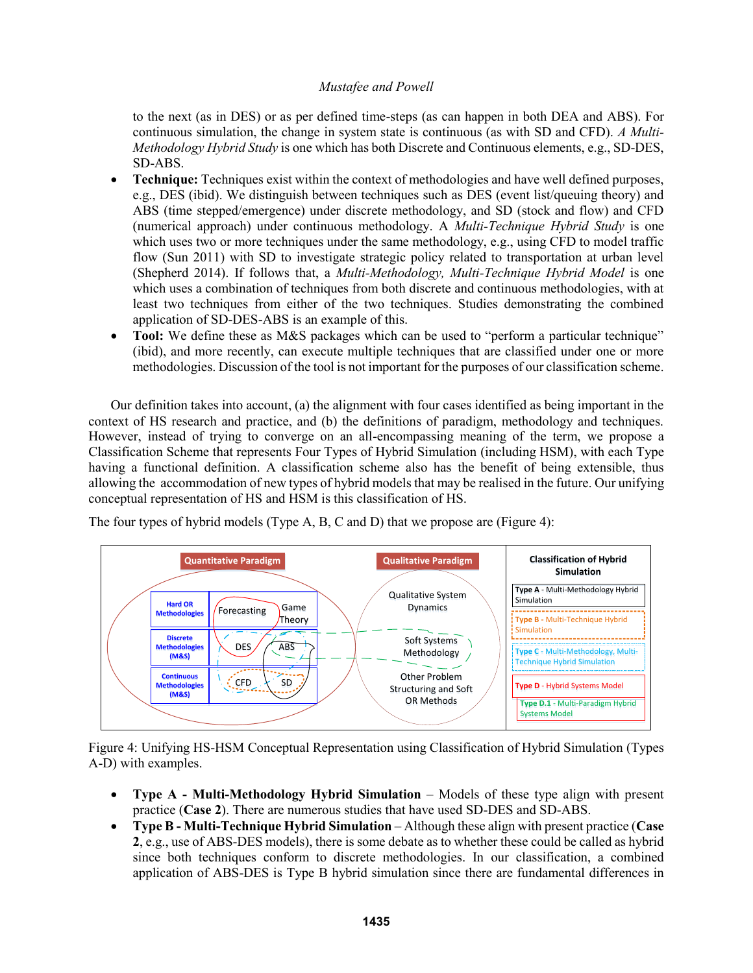to the next (as in DES) or as per defined time-steps (as can happen in both DEA and ABS). For continuous simulation, the change in system state is continuous (as with SD and CFD). *A Multi-Methodology Hybrid Study* is one which has both Discrete and Continuous elements, e.g., SD-DES, SD-ABS.

- **Technique:** Techniques exist within the context of methodologies and have well defined purposes, e.g., DES (ibid). We distinguish between techniques such as DES (event list/queuing theory) and ABS (time stepped/emergence) under discrete methodology, and SD (stock and flow) and CFD (numerical approach) under continuous methodology. A *Multi-Technique Hybrid Study* is one which uses two or more techniques under the same methodology, e.g., using CFD to model traffic flow (Sun 2011) with SD to investigate strategic policy related to transportation at urban level (Shepherd 2014). If follows that, a *Multi-Methodology, Multi-Technique Hybrid Model* is one which uses a combination of techniques from both discrete and continuous methodologies, with at least two techniques from either of the two techniques. Studies demonstrating the combined application of SD-DES-ABS is an example of this.
- **Tool:** We define these as M&S packages which can be used to "perform a particular technique" (ibid), and more recently, can execute multiple techniques that are classified under one or more methodologies. Discussion of the tool is not important for the purposes of our classification scheme.

Our definition takes into account, (a) the alignment with four cases identified as being important in the context of HS research and practice, and (b) the definitions of paradigm, methodology and techniques. However, instead of trying to converge on an all-encompassing meaning of the term, we propose a Classification Scheme that represents Four Types of Hybrid Simulation (including HSM), with each Type having a functional definition. A classification scheme also has the benefit of being extensible, thus allowing the accommodation of new types of hybrid models that may be realised in the future. Our unifying conceptual representation of HS and HSM is this classification of HS.

The four types of hybrid models (Type A, B, C and D) that we propose are (Figure 4):



Figure 4: Unifying HS-HSM Conceptual Representation using Classification of Hybrid Simulation (Types A-D) with examples.

- **Type A - Multi-Methodology Hybrid Simulation** Models of these type align with present practice (**Case 2**). There are numerous studies that have used SD-DES and SD-ABS.
- **Type B - Multi-Technique Hybrid Simulation** Although these align with present practice (**Case 2**, e.g., use of ABS-DES models), there is some debate as to whether these could be called as hybrid since both techniques conform to discrete methodologies. In our classification, a combined application of ABS-DES is Type B hybrid simulation since there are fundamental differences in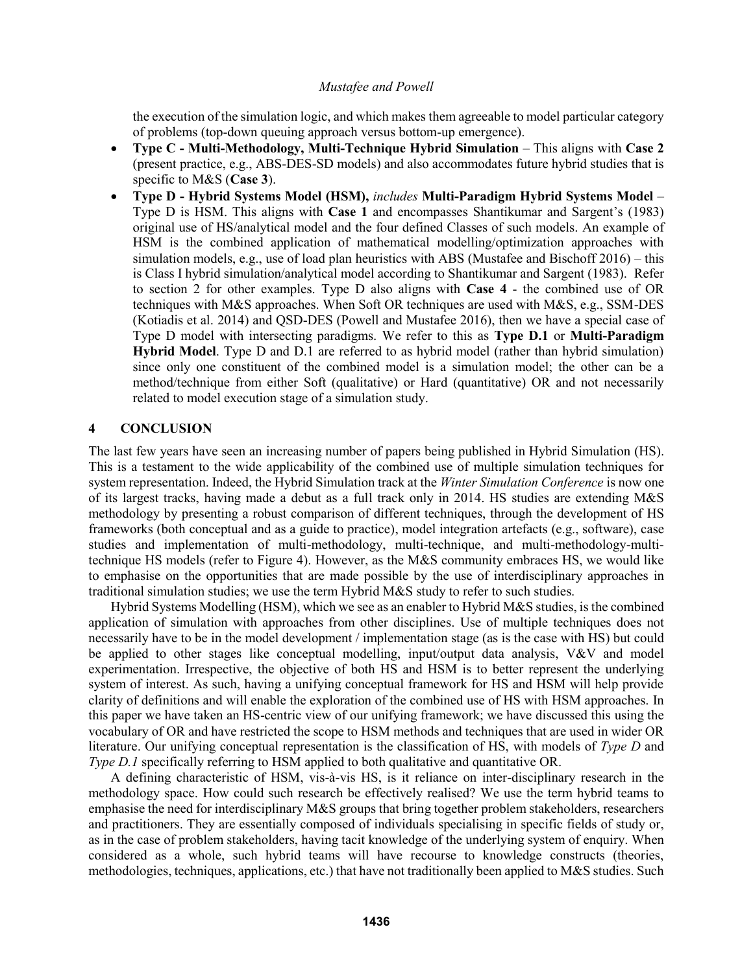the execution of the simulation logic, and which makes them agreeable to model particular category of problems (top-down queuing approach versus bottom-up emergence).

- **Type C - Multi-Methodology, Multi-Technique Hybrid Simulation** This aligns with **Case 2** (present practice, e.g., ABS-DES-SD models) and also accommodates future hybrid studies that is specific to M&S (**Case 3**).
- **Type D - Hybrid Systems Model (HSM),** *includes* **Multi-Paradigm Hybrid Systems Model** Type D is HSM. This aligns with **Case 1** and encompasses Shantikumar and Sargent's (1983) original use of HS/analytical model and the four defined Classes of such models. An example of HSM is the combined application of mathematical modelling/optimization approaches with simulation models, e.g., use of load plan heuristics with ABS (Mustafee and Bischoff 2016) – this is Class I hybrid simulation/analytical model according to Shantikumar and Sargent (1983). Refer to section 2 for other examples. Type D also aligns with **Case 4** - the combined use of OR techniques with M&S approaches. When Soft OR techniques are used with M&S, e.g., SSM-DES (Kotiadis et al. 2014) and QSD-DES (Powell and Mustafee 2016), then we have a special case of Type D model with intersecting paradigms. We refer to this as **Type D.1** or **Multi-Paradigm Hybrid Model**. Type D and D.1 are referred to as hybrid model (rather than hybrid simulation) since only one constituent of the combined model is a simulation model; the other can be a method/technique from either Soft (qualitative) or Hard (quantitative) OR and not necessarily related to model execution stage of a simulation study.

### **4 CONCLUSION**

The last few years have seen an increasing number of papers being published in Hybrid Simulation (HS). This is a testament to the wide applicability of the combined use of multiple simulation techniques for system representation. Indeed, the Hybrid Simulation track at the *Winter Simulation Conference* is now one of its largest tracks, having made a debut as a full track only in 2014. HS studies are extending M&S methodology by presenting a robust comparison of different techniques, through the development of HS frameworks (both conceptual and as a guide to practice), model integration artefacts (e.g., software), case studies and implementation of multi-methodology, multi-technique, and multi-methodology-multitechnique HS models (refer to Figure 4). However, as the M&S community embraces HS, we would like to emphasise on the opportunities that are made possible by the use of interdisciplinary approaches in traditional simulation studies; we use the term Hybrid M&S study to refer to such studies.

Hybrid Systems Modelling (HSM), which we see as an enabler to Hybrid M&S studies, is the combined application of simulation with approaches from other disciplines. Use of multiple techniques does not necessarily have to be in the model development / implementation stage (as is the case with HS) but could be applied to other stages like conceptual modelling, input/output data analysis, V&V and model experimentation. Irrespective, the objective of both HS and HSM is to better represent the underlying system of interest. As such, having a unifying conceptual framework for HS and HSM will help provide clarity of definitions and will enable the exploration of the combined use of HS with HSM approaches. In this paper we have taken an HS-centric view of our unifying framework; we have discussed this using the vocabulary of OR and have restricted the scope to HSM methods and techniques that are used in wider OR literature. Our unifying conceptual representation is the classification of HS, with models of *Type D* and *Type D.1* specifically referring to HSM applied to both qualitative and quantitative OR.

A defining characteristic of HSM, vis-à-vis HS, is it reliance on inter-disciplinary research in the methodology space. How could such research be effectively realised? We use the term hybrid teams to emphasise the need for interdisciplinary M&S groups that bring together problem stakeholders, researchers and practitioners. They are essentially composed of individuals specialising in specific fields of study or, as in the case of problem stakeholders, having tacit knowledge of the underlying system of enquiry. When considered as a whole, such hybrid teams will have recourse to knowledge constructs (theories, methodologies, techniques, applications, etc.) that have not traditionally been applied to M&S studies. Such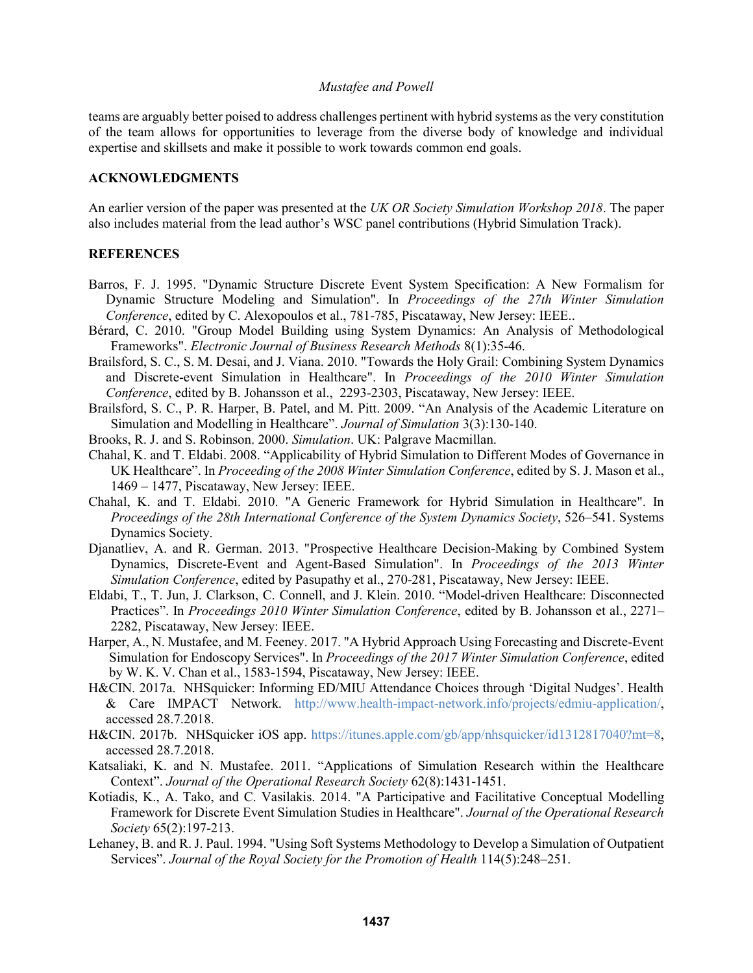teams are arguably better poised to address challenges pertinent with hybrid systems as the very constitution of the team allows for opportunities to leverage from the diverse body of knowledge and individual expertise and skillsets and make it possible to work towards common end goals.

### **ACKNOWLEDGMENTS**

An earlier version of the paper was presented at the *UK OR Society Simulation Workshop 2018*. The paper also includes material from the lead author's WSC panel contributions (Hybrid Simulation Track).

#### **REFERENCES**

- Barros, F. J. 1995. "Dynamic Structure Discrete Event System Specification: A New Formalism for Dynamic Structure Modeling and Simulation". In *Proceedings of the 27th Winter Simulation Conference*, edited by C. Alexopoulos et al., 781-785, Piscataway, New Jersey: IEEE..
- Bérard, C. 2010. "Group Model Building using System Dynamics: An Analysis of Methodological Frameworks". *Electronic Journal of Business Research Methods* 8(1):35-46.
- Brailsford, S. C., S. M. Desai, and J. Viana. 2010. "Towards the Holy Grail: Combining System Dynamics and Discrete-event Simulation in Healthcare". In *Proceedings of the 2010 Winter Simulation Conference*, edited by B. Johansson et al., 2293-2303, Piscataway, New Jersey: IEEE.
- Brailsford, S. C., P. R. Harper, B. Patel, and M. Pitt. 2009. "An Analysis of the Academic Literature on Simulation and Modelling in Healthcare". *Journal of Simulation* 3(3):130-140.
- Brooks, R. J. and S. Robinson. 2000. *Simulation*. UK: Palgrave Macmillan.
- Chahal, K. and T. Eldabi. 2008. "Applicability of Hybrid Simulation to Different Modes of Governance in UK Healthcare". In *Proceeding of the 2008 Winter Simulation Conference*, edited by S. J. Mason et al., 1469 – 1477, Piscataway, New Jersey: IEEE.
- Chahal, K. and T. Eldabi. 2010. "A Generic Framework for Hybrid Simulation in Healthcare". In *Proceedings of the 28th International Conference of the System Dynamics Society*, 526–541. Systems Dynamics Society.
- Djanatliev, A. and R. German. 2013. "Prospective Healthcare Decision-Making by Combined System Dynamics, Discrete-Event and Agent-Based Simulation". In *Proceedings of the 2013 Winter Simulation Conference*, edited by Pasupathy et al., 270-281, Piscataway, New Jersey: IEEE.
- Eldabi, T., T. Jun, J. Clarkson, C. Connell, and J. Klein. 2010. "Model-driven Healthcare: Disconnected Practices". In *Proceedings 2010 Winter Simulation Conference*, edited by B. Johansson et al., 2271– 2282, Piscataway, New Jersey: IEEE.
- Harper, A., N. Mustafee, and M. Feeney. 2017. "A Hybrid Approach Using Forecasting and Discrete-Event Simulation for Endoscopy Services". In *Proceedings of the 2017 Winter Simulation Conference*, edited by W. K. V. Chan et al., 1583-1594, Piscataway, New Jersey: IEEE.
- H&CIN. 2017a. NHSquicker: Informing ED/MIU Attendance Choices through 'Digital Nudges'. Health & Care IMPACT Network. http://www.health-impact-network.info/projects/edmiu-application/, accessed 28.7.2018.
- H&CIN. 2017b. NHSquicker iOS app. https://itunes.apple.com/gb/app/nhsquicker/id1312817040?mt=8, accessed 28.7.2018.
- Katsaliaki, K. and N. Mustafee. 2011. "Applications of Simulation Research within the Healthcare Context". *Journal of the Operational Research Society* 62(8):1431-1451.
- Kotiadis, K., A. Tako, and C. Vasilakis. 2014. "A Participative and Facilitative Conceptual Modelling Framework for Discrete Event Simulation Studies in Healthcare". *Journal of the Operational Research Society* 65(2):197-213.
- Lehaney, B. and R. J. Paul. 1994. "Using Soft Systems Methodology to Develop a Simulation of Outpatient Services". *Journal of the Royal Society for the Promotion of Health* 114(5):248–251.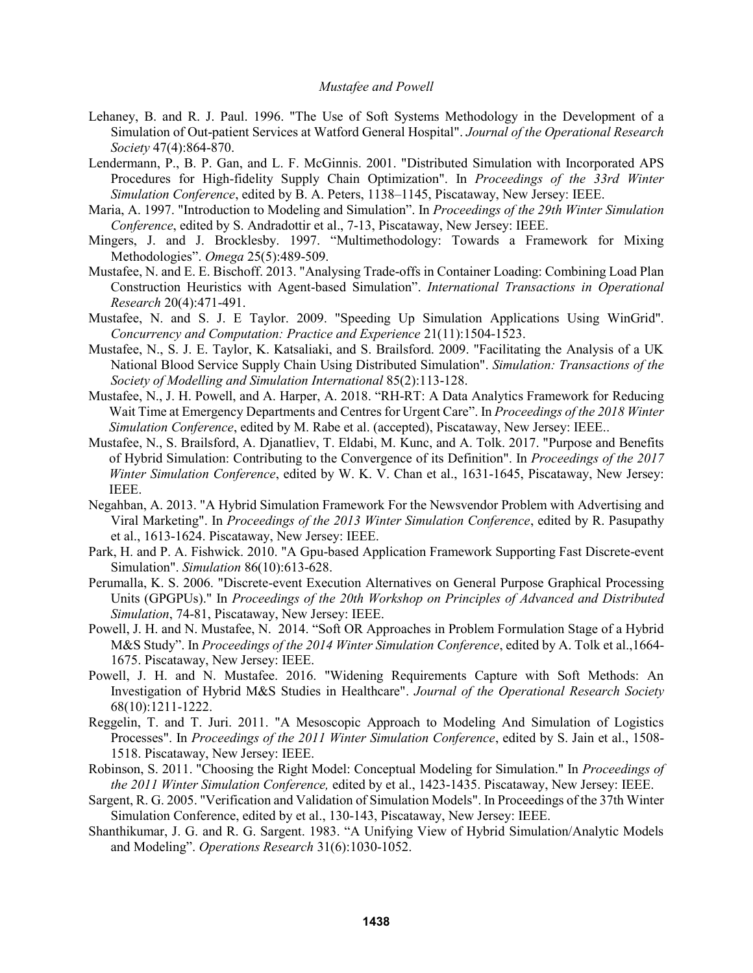- Lehaney, B. and R. J. Paul. 1996. "The Use of Soft Systems Methodology in the Development of a Simulation of Out-patient Services at Watford General Hospital". *Journal of the Operational Research Society* 47(4):864-870.
- Lendermann, P., B. P. Gan, and L. F. McGinnis. 2001. "Distributed Simulation with Incorporated APS Procedures for High-fidelity Supply Chain Optimization". In *Proceedings of the 33rd Winter Simulation Conference*, edited by B. A. Peters, 1138–1145, Piscataway, New Jersey: IEEE.
- Maria, A. 1997. "Introduction to Modeling and Simulation". In *Proceedings of the 29th Winter Simulation Conference*, edited by S. Andradottir et al., 7-13, Piscataway, New Jersey: IEEE.
- Mingers, J. and J. Brocklesby. 1997. "Multimethodology: Towards a Framework for Mixing Methodologies". *Omega* 25(5):489-509.
- Mustafee, N. and E. E. Bischoff. 2013. "Analysing Trade-offs in Container Loading: Combining Load Plan Construction Heuristics with Agent-based Simulation". *International Transactions in Operational Research* 20(4):471-491.
- Mustafee, N. and S. J. E Taylor. 2009. "Speeding Up Simulation Applications Using WinGrid". *Concurrency and Computation: Practice and Experience* 21(11):1504-1523.
- Mustafee, N., S. J. E. Taylor, K. Katsaliaki, and S. Brailsford. 2009. "Facilitating the Analysis of a UK National Blood Service Supply Chain Using Distributed Simulation". *Simulation: Transactions of the Society of Modelling and Simulation International* 85(2):113-128.
- Mustafee, N., J. H. Powell, and A. Harper, A. 2018. "RH-RT: A Data Analytics Framework for Reducing Wait Time at Emergency Departments and Centres for Urgent Care". In *Proceedings of the 2018 Winter Simulation Conference*, edited by M. Rabe et al. (accepted), Piscataway, New Jersey: IEEE..
- Mustafee, N., S. Brailsford, A. Djanatliev, T. Eldabi, M. Kunc, and A. Tolk. 2017. "Purpose and Benefits of Hybrid Simulation: Contributing to the Convergence of its Definition". In *Proceedings of the 2017 Winter Simulation Conference*, edited by W. K. V. Chan et al., 1631-1645, Piscataway, New Jersey: IEEE.
- Negahban, A. 2013. "A Hybrid Simulation Framework For the Newsvendor Problem with Advertising and Viral Marketing". In *Proceedings of the 2013 Winter Simulation Conference*, edited by R. Pasupathy et al., 1613-1624. Piscataway, New Jersey: IEEE.
- Park, H. and P. A. Fishwick. 2010. "A Gpu-based Application Framework Supporting Fast Discrete-event Simulation". *Simulation* 86(10):613-628.
- Perumalla, K. S. 2006. "Discrete-event Execution Alternatives on General Purpose Graphical Processing Units (GPGPUs)." In *Proceedings of the 20th Workshop on Principles of Advanced and Distributed Simulation*, 74-81, Piscataway, New Jersey: IEEE.
- Powell, J. H. and N. Mustafee, N. 2014. "Soft OR Approaches in Problem Formulation Stage of a Hybrid M&S Study". In *Proceedings of the 2014 Winter Simulation Conference*, edited by A. Tolk et al.,1664- 1675. Piscataway, New Jersey: IEEE.
- Powell, J. H. and N. Mustafee. 2016. "Widening Requirements Capture with Soft Methods: An Investigation of Hybrid M&S Studies in Healthcare". *Journal of the Operational Research Society*  68(10):1211-1222.
- Reggelin, T. and T. Juri. 2011. "A Mesoscopic Approach to Modeling And Simulation of Logistics Processes". In *Proceedings of the 2011 Winter Simulation Conference*, edited by S. Jain et al., 1508- 1518. Piscataway, New Jersey: IEEE.
- Robinson, S. 2011. "Choosing the Right Model: Conceptual Modeling for Simulation." In *Proceedings of the 2011 Winter Simulation Conference,* edited by et al., 1423-1435. Piscataway, New Jersey: IEEE.
- Sargent, R. G. 2005. "Verification and Validation of Simulation Models". In Proceedings of the 37th Winter Simulation Conference, edited by et al., 130-143, Piscataway, New Jersey: IEEE.
- Shanthikumar, J. G. and R. G. Sargent. 1983. "A Unifying View of Hybrid Simulation/Analytic Models and Modeling". *Operations Research* 31(6):1030-1052.